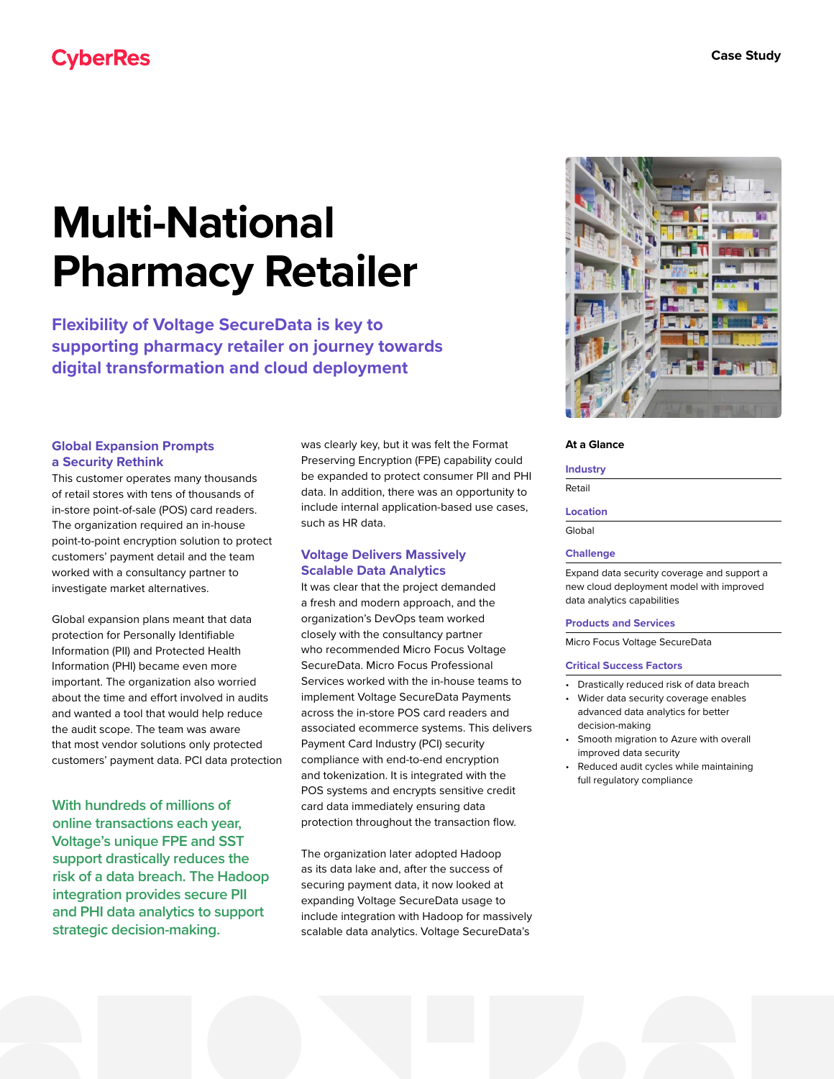# **CyberRes**

# **Multi-National Pharmacy Retailer**

**Flexibility of Voltage SecureData is key to supporting pharmacy retailer on journey towards digital transformation and cloud deployment**

# **Global Expansion Prompts a Security Rethink**

This customer operates many thousands of retail stores with tens of thousands of in-store point-of-sale (POS) card readers. The organization required an in-house point-to-point encryption solution to protect customers' payment detail and the team worked with a consultancy partner to investigate market alternatives.

Global expansion plans meant that data protection for Personally Identifiable Information (PII) and Protected Health Information (PHI) became even more important. The organization also worried about the time and effort involved in audits and wanted a tool that would help reduce the audit scope. The team was aware that most vendor solutions only protected customers' payment data. PCI data protection

**With hundreds of millions of online transactions each year, Voltage's unique FPE and SST support drastically reduces the risk of a data breach. The Hadoop integration provides secure PII and PHI data analytics to support strategic decision-making.**

was clearly key, but it was felt the Format Preserving Encryption (FPE) capability could be expanded to protect consumer PII and PHI data. In addition, there was an opportunity to include internal application-based use cases, such as HR data.

# **Voltage Delivers Massively Scalable Data Analytics**

It was clear that the project demanded a fresh and modern approach, and the organization's DevOps team worked closely with the consultancy partner who recommended Micro Focus Voltage SecureData. Micro Focus Professional Services worked with the in-house teams to implement Voltage SecureData Payments across the in-store POS card readers and associated ecommerce systems. This delivers Payment Card Industry (PCI) security compliance with end-to-end encryption and tokenization. It is integrated with the POS systems and encrypts sensitive credit card data immediately ensuring data protection throughout the transaction flow.

The organization later adopted Hadoop as its data lake and, after the success of securing payment data, it now looked at expanding Voltage SecureData usage to include integration with Hadoop for massively scalable data analytics. Voltage SecureData's



#### **At a Glance**

#### **Industry**

Retail

# **Location**

Global

### **Challenge**

Expand data security coverage and support a new cloud deployment model with improved data analytics capabilities

#### **Products and Services**

Micro Focus Voltage SecureData

#### **Critical Success Factors**

- Drastically reduced risk of data breach
- Wider data security coverage enables advanced data analytics for better decision-making
- Smooth migration to Azure with overall improved data security
- Reduced audit cycles while maintaining full regulatory compliance